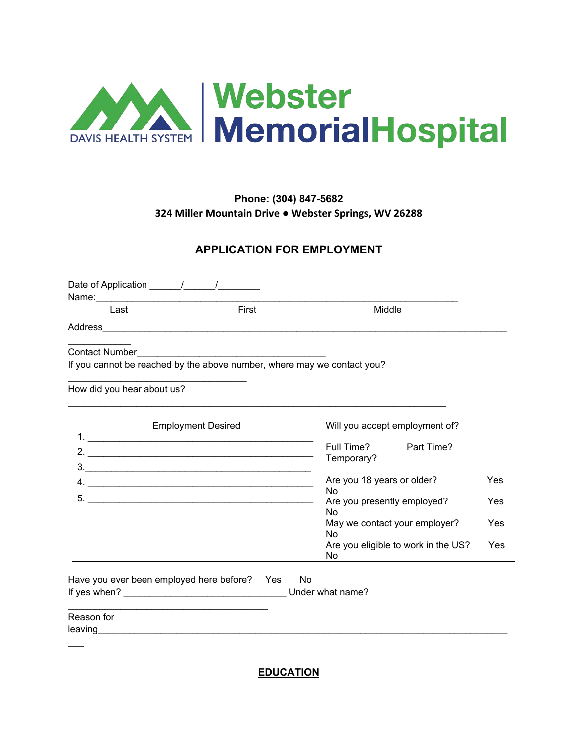

## **Phone: (304) 847-5682 324 Miller Mountain Drive ● Webster Springs, WV 26288**

### **APPLICATION FOR EMPLOYMENT**

| Date of Application 11 1<br>Name: |       |        |  |
|-----------------------------------|-------|--------|--|
| Last                              | First | Middle |  |
| Address                           |       |        |  |
|                                   |       |        |  |

Contact Number

 $\overline{\phantom{a}}$ 

If you cannot be reached by the above number, where may we contact you?

\_\_\_\_\_\_\_\_\_\_\_\_\_\_\_\_\_\_\_\_\_\_\_\_\_\_\_\_\_\_\_\_\_\_\_\_\_\_\_\_\_\_\_\_\_\_\_\_\_\_\_\_\_\_\_\_\_\_\_\_\_\_\_\_\_\_\_\_\_\_\_\_

How did you hear about us?

\_\_\_\_\_\_\_\_\_\_\_\_\_\_\_\_\_\_\_\_\_\_\_\_\_\_\_\_\_\_\_\_\_\_

| <b>Employment Desired</b><br>1. | Will you accept employment of?            |     |
|---------------------------------|-------------------------------------------|-----|
| $\mathcal{P}$<br>3.             | Full Time?<br>Part Time?<br>Temporary?    |     |
| 4.                              | Are you 18 years or older?<br>No          | Yes |
| 5.                              | Are you presently employed?<br>No         | Yes |
|                                 | May we contact your employer?<br>No       | Yes |
|                                 | Are you eligible to work in the US?<br>No | Yes |

| Have you ever been employed here before? | Yes | N٥               |
|------------------------------------------|-----|------------------|
| If yes when?                             |     | Under what name? |

| Reason for |  |  |
|------------|--|--|
| leaving    |  |  |

**EDUCATION**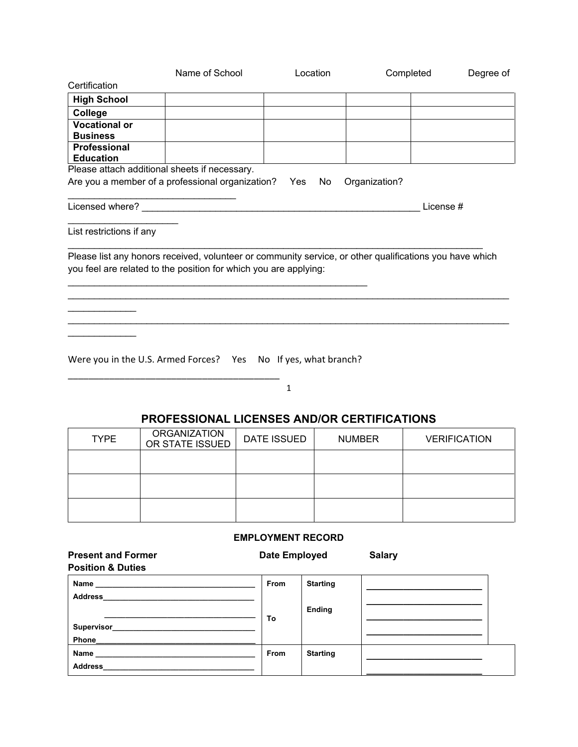|                                                                                                                                                                             | Name of School | Location                | Completed     | Degree of |
|-----------------------------------------------------------------------------------------------------------------------------------------------------------------------------|----------------|-------------------------|---------------|-----------|
| Certification                                                                                                                                                               |                |                         |               |           |
| <b>High School</b>                                                                                                                                                          |                |                         |               |           |
| College                                                                                                                                                                     |                |                         |               |           |
| <b>Vocational or</b>                                                                                                                                                        |                |                         |               |           |
| <b>Business</b>                                                                                                                                                             |                |                         |               |           |
| Professional<br><b>Education</b>                                                                                                                                            |                |                         |               |           |
| Please attach additional sheets if necessary.                                                                                                                               |                |                         |               |           |
| Are you a member of a professional organization? Yes                                                                                                                        |                | No                      | Organization? |           |
| Licensed where?                                                                                                                                                             |                |                         | License#      |           |
| List restrictions if any                                                                                                                                                    |                |                         |               |           |
| Please list any honors received, volunteer or community service, or other qualifications you have which<br>you feel are related to the position for which you are applying: |                |                         |               |           |
| Were you in the U.S. Armed Forces? Yes                                                                                                                                      |                | No If yes, what branch? |               |           |

1

\_\_\_\_\_\_\_\_\_\_\_\_\_\_\_\_\_\_\_\_\_\_\_\_\_\_\_\_\_\_\_\_\_\_\_\_\_\_\_\_\_

## **PROFESSIONAL LICENSES AND/OR CERTIFICATIONS**

| <b>TYPE</b> | <b>ORGANIZATION</b><br>OR STATE ISSUED | <b>DATE ISSUED</b> | <b>NUMBER</b> | <b>VERIFICATION</b> |
|-------------|----------------------------------------|--------------------|---------------|---------------------|
|             |                                        |                    |               |                     |
|             |                                        |                    |               |                     |
|             |                                        |                    |               |                     |

### **EMPLOYMENT RECORD**

| <b>Present and Former</b><br><b>Position &amp; Duties</b> | Date Employed |                 | <b>Salary</b> |  |
|-----------------------------------------------------------|---------------|-----------------|---------------|--|
| <b>Address</b>                                            | From          | <b>Starting</b> |               |  |
| <b>Supervisor Supervisor</b><br>Phone___________          | To            | Ending          |               |  |
| Name _____________<br><b>Address</b>                      | From          | <b>Starting</b> |               |  |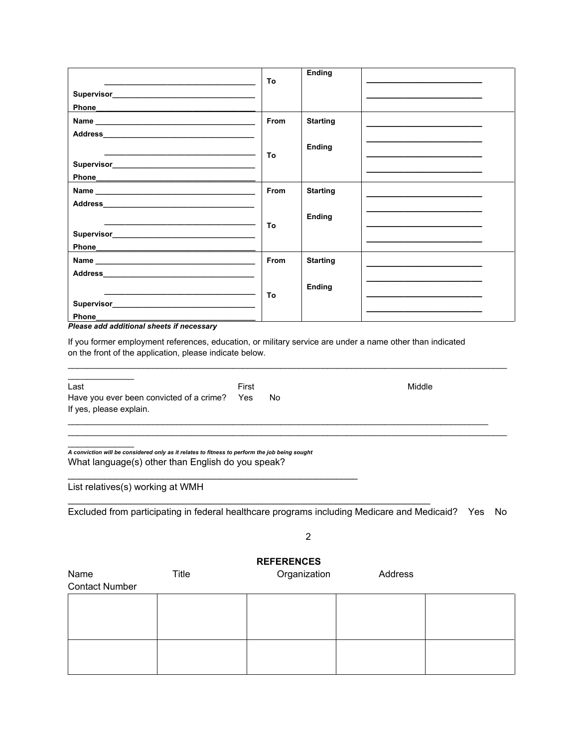|                                           | Τo   | <b>Ending</b>   |  |
|-------------------------------------------|------|-----------------|--|
|                                           |      |                 |  |
|                                           |      |                 |  |
|                                           | From | <b>Starting</b> |  |
|                                           |      |                 |  |
|                                           |      | Ending          |  |
|                                           | To   |                 |  |
|                                           |      |                 |  |
|                                           | From | <b>Starting</b> |  |
|                                           |      |                 |  |
|                                           |      | Ending          |  |
|                                           | To   |                 |  |
|                                           |      |                 |  |
|                                           | From | <b>Starting</b> |  |
|                                           |      |                 |  |
|                                           |      | Ending          |  |
|                                           | To   |                 |  |
| Phone                                     |      |                 |  |
| Please add additional sheets if necessary |      |                 |  |

If you former employment references, education, or military service are under a name other than indicated on the front of the application, please indicate below.

| Last<br>Have you ever been convicted of a crime?<br>If yes, please explain.                                                                        | First<br>Yes<br>No. | Middle |
|----------------------------------------------------------------------------------------------------------------------------------------------------|---------------------|--------|
| A conviction will be considered only as it relates to fitness to perform the job being sought<br>What language(s) other than English do you speak? |                     |        |
| List relatives(s) working at WMH                                                                                                                   |                     |        |

 $\mathcal{L}_\mathcal{L} = \{ \mathcal{L}_\mathcal{L} = \{ \mathcal{L}_\mathcal{L} = \{ \mathcal{L}_\mathcal{L} = \{ \mathcal{L}_\mathcal{L} = \{ \mathcal{L}_\mathcal{L} = \{ \mathcal{L}_\mathcal{L} = \{ \mathcal{L}_\mathcal{L} = \{ \mathcal{L}_\mathcal{L} = \{ \mathcal{L}_\mathcal{L} = \{ \mathcal{L}_\mathcal{L} = \{ \mathcal{L}_\mathcal{L} = \{ \mathcal{L}_\mathcal{L} = \{ \mathcal{L}_\mathcal{L} = \{ \mathcal{L}_\mathcal{$ 

Excluded from participating in federal healthcare programs including Medicare and Medicaid? Yes No

2

# **REFERENCES**

Name Title Title Organization Address Contact Number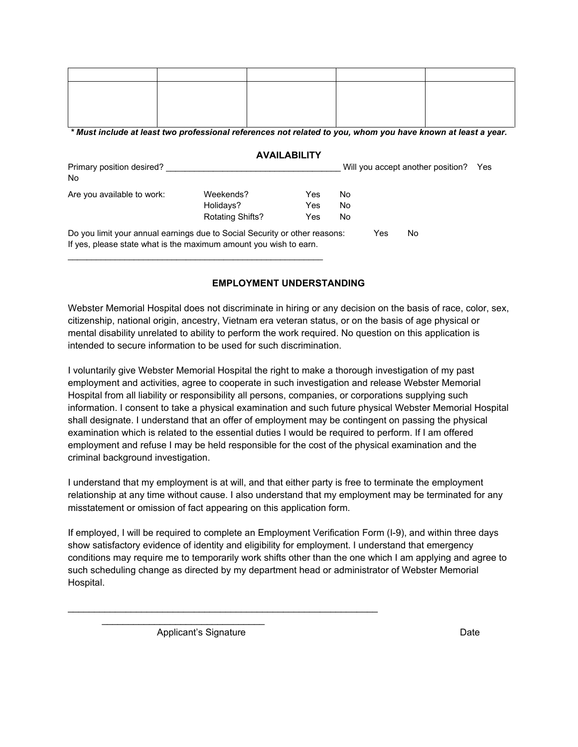*\* Must include at least two professional references not related to you, whom you have known at least a year.*

#### **AVAILABILITY**

| Primary position desired?<br>No. |                                                                                                                                                 |     |     |     | Will you accept another position? | Yes |
|----------------------------------|-------------------------------------------------------------------------------------------------------------------------------------------------|-----|-----|-----|-----------------------------------|-----|
| Are you available to work:       | Weekends?                                                                                                                                       | Yes | No. |     |                                   |     |
|                                  | Holidays?                                                                                                                                       | Yes | No  |     |                                   |     |
|                                  | <b>Rotating Shifts?</b>                                                                                                                         | Yes | No  |     |                                   |     |
|                                  | Do you limit your annual earnings due to Social Security or other reasons:<br>If yes, please state what is the maximum amount you wish to earn. |     |     | Yes | No                                |     |

### **EMPLOYMENT UNDERSTANDING**

Webster Memorial Hospital does not discriminate in hiring or any decision on the basis of race, color, sex, citizenship, national origin, ancestry, Vietnam era veteran status, or on the basis of age physical or mental disability unrelated to ability to perform the work required. No question on this application is intended to secure information to be used for such discrimination.

I voluntarily give Webster Memorial Hospital the right to make a thorough investigation of my past employment and activities, agree to cooperate in such investigation and release Webster Memorial Hospital from all liability or responsibility all persons, companies, or corporations supplying such information. I consent to take a physical examination and such future physical Webster Memorial Hospital shall designate. I understand that an offer of employment may be contingent on passing the physical examination which is related to the essential duties I would be required to perform. If I am offered employment and refuse I may be held responsible for the cost of the physical examination and the criminal background investigation.

I understand that my employment is at will, and that either party is free to terminate the employment relationship at any time without cause. I also understand that my employment may be terminated for any misstatement or omission of fact appearing on this application form.

If employed, I will be required to complete an Employment Verification Form (I-9), and within three days show satisfactory evidence of identity and eligibility for employment. I understand that emergency conditions may require me to temporarily work shifts other than the one which I am applying and agree to such scheduling change as directed by my department head or administrator of Webster Memorial Hospital.

Applicant's Signature Date Date

\_\_\_\_\_\_\_\_\_\_\_\_\_\_\_\_\_\_\_\_\_\_\_\_\_\_\_\_\_\_\_

\_\_\_\_\_\_\_\_\_\_\_\_\_\_\_\_\_\_\_\_\_\_\_\_\_\_\_\_\_\_\_\_\_\_\_\_\_\_\_\_\_\_\_\_\_\_\_\_\_\_\_\_\_\_\_\_\_\_\_

\_\_\_\_\_\_\_\_\_\_\_\_\_\_\_\_\_\_\_\_\_\_\_\_\_\_\_\_\_\_\_\_\_\_\_\_\_\_\_\_\_\_\_\_\_\_\_\_\_\_\_\_\_\_